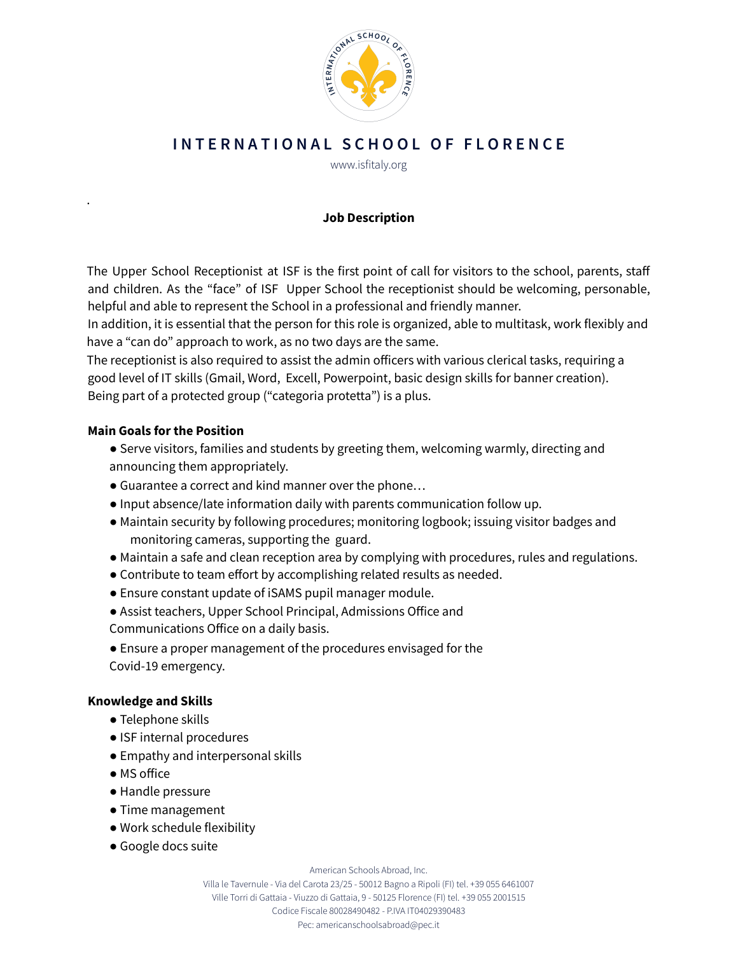

## INTERNATIONAL SCHOOL OF FLORENCE

www.isfitaly.org

### **Job Description**

The Upper School Receptionist at ISF is the first point of call for visitors to the school, parents, staff and children. As the "face" of ISF Upper School the receptionist should be welcoming, personable, helpful and able to represent the School in a professional and friendly manner.

In addition, it is essential that the person for this role is organized, able to multitask, work flexibly and have a "can do" approach to work, as no two days are the same.

The receptionist is also required to assist the admin officers with various clerical tasks, requiring a good level of IT skills (Gmail, Word, Excell, Powerpoint, basic design skills for banner creation). Being part of a protected group ("categoria protetta") is a plus.

#### **Main Goals for the Position**

.

- Serve visitors, families and students by greeting them, welcoming warmly, directing and announcing them appropriately.
- Guarantee a correct and kind manner over the phone…
- Input absence/late information daily with parents communication follow up.
- Maintain security by following procedures; monitoring logbook; issuing visitor badges and monitoring cameras, supporting the guard.
- Maintain a safe and clean reception area by complying with procedures, rules and regulations.
- Contribute to team effort by accomplishing related results as needed.
- Ensure constant update of iSAMS pupil manager module.
- Assist teachers, Upper School Principal, Admissions Office and
- Communications Office on a daily basis.
- Ensure a proper management of the procedures envisaged for the Covid-19 emergency.

#### **Knowledge and Skills**

- Telephone skills
- ISF internal procedures
- Empathy and interpersonal skills
- MS office
- Handle pressure
- Time management
- Work schedule flexibility
- Google docs suite

American Schools Abroad, Inc.

Villa le Tavernule - Via del Carota 23/25 - 50012 Bagno a Ripoli(FI) tel. +39 055 6461007 Ville Torri di Gattaia - Viuzzo di Gattaia, 9 - 50125 Florence (FI) tel. +39 055 2001515 Codice Fiscale 80028490482 - P.IVA IT04029390483 Pec: americanschoolsabroad@pec.it